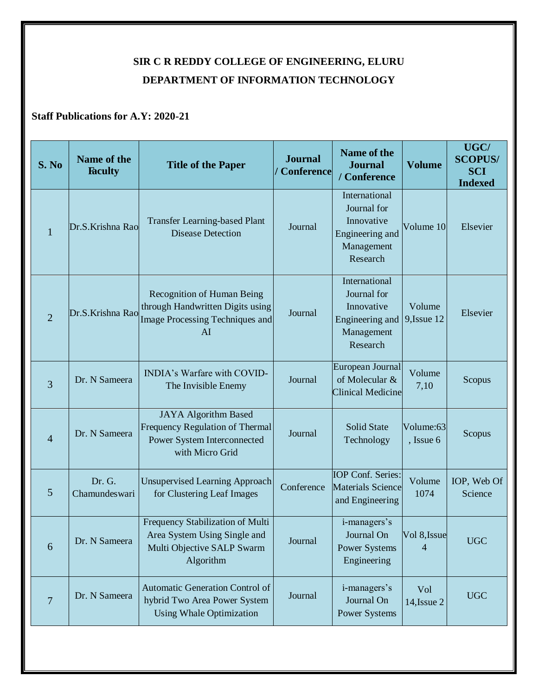## **SIR C R REDDY COLLEGE OF ENGINEERING, ELURU DEPARTMENT OF INFORMATION TECHNOLOGY**

## **Staff Publications for A.Y: 2020-21**

| S. No          | Name of the<br><b>Faculty</b> | <b>Title of the Paper</b>                                                                                        | <b>Journal</b><br><b>Conference</b> | Name of the<br><b>Journal</b><br>/ Conference                                           | <b>Volume</b>           | UGC/<br><b>SCOPUS/</b><br><b>SCI</b><br><b>Indexed</b> |
|----------------|-------------------------------|------------------------------------------------------------------------------------------------------------------|-------------------------------------|-----------------------------------------------------------------------------------------|-------------------------|--------------------------------------------------------|
| $\mathbf{1}$   | Dr.S.Krishna Rao              | <b>Transfer Learning-based Plant</b><br><b>Disease Detection</b>                                                 | Journal                             | International<br>Journal for<br>Innovative<br>Engineering and<br>Management<br>Research | Volume 10               | Elsevier                                               |
| $\overline{2}$ | Dr.S.Krishna Rao              | Recognition of Human Being<br>through Handwritten Digits using<br><b>Image Processing Techniques and</b><br>AI   | Journal                             | International<br>Journal for<br>Innovative<br>Engineering and<br>Management<br>Research | Volume<br>9, Issue 12   | Elsevier                                               |
| $\overline{3}$ | Dr. N Sameera                 | INDIA's Warfare with COVID-<br>The Invisible Enemy                                                               | Journal                             | European Journal<br>of Molecular &<br><b>Clinical Medicine</b>                          | Volume<br>7,10          | Scopus                                                 |
| $\overline{4}$ | Dr. N Sameera                 | <b>JAYA</b> Algorithm Based<br>Frequency Regulation of Thermal<br>Power System Interconnected<br>with Micro Grid | Journal                             | <b>Solid State</b><br>Technology                                                        | Volume:63<br>, Issue 6  | Scopus                                                 |
| 5              | Dr. G.<br>Chamundeswari       | <b>Unsupervised Learning Approach</b><br>for Clustering Leaf Images                                              | Conference                          | IOP Conf. Series:<br><b>Materials Science</b><br>and Engineering                        | Volume<br>1074          | IOP, Web Of<br>Science                                 |
| 6              | Dr. N Sameera                 | Frequency Stabilization of Multi<br>Area System Using Single and<br>Multi Objective SALP Swarm<br>Algorithm      | Journal                             | i-managers's<br>Journal On<br><b>Power Systems</b><br>Engineering                       | Vol 8, Issue            | <b>UGC</b>                                             |
| $\overline{7}$ | Dr. N Sameera                 | Automatic Generation Control of<br>hybrid Two Area Power System<br><b>Using Whale Optimization</b>               | Journal                             | i-managers's<br>Journal On<br>Power Systems                                             | Vol<br>$14$ , Issue $2$ | <b>UGC</b>                                             |